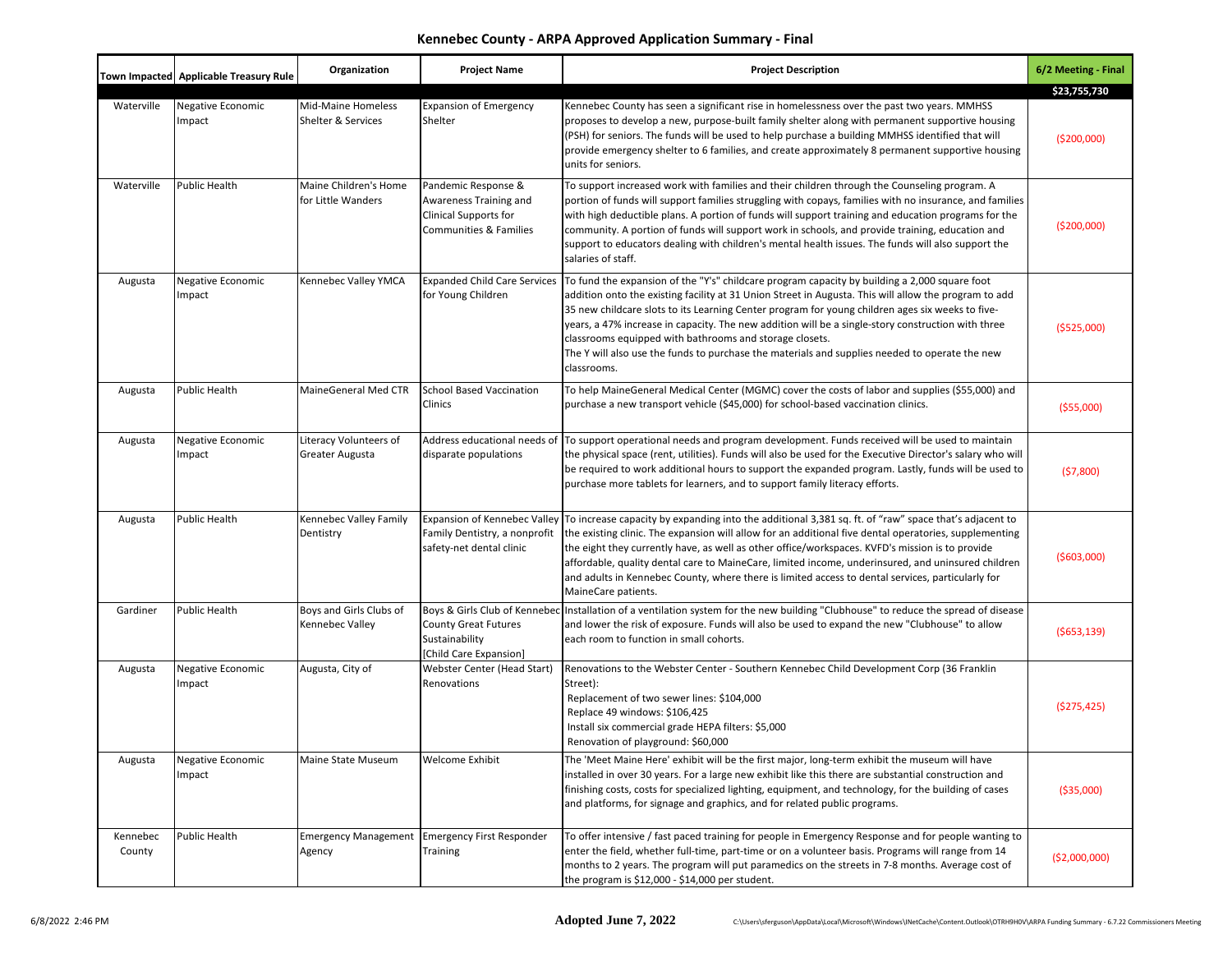## **Kennebec County - ARPA Approved Application Summary - Final**

|                    | Town Impacted Applicable Treasury Rule | Organization                                    | <b>Project Name</b>                                                                                                | <b>Project Description</b>                                                                                                                                                                                                                                                                                                                                                                                                                                                                                                                                                                   | 6/2 Meeting - Final          |
|--------------------|----------------------------------------|-------------------------------------------------|--------------------------------------------------------------------------------------------------------------------|----------------------------------------------------------------------------------------------------------------------------------------------------------------------------------------------------------------------------------------------------------------------------------------------------------------------------------------------------------------------------------------------------------------------------------------------------------------------------------------------------------------------------------------------------------------------------------------------|------------------------------|
| Waterville         | <b>Negative Economic</b><br>Impact     | <b>Mid-Maine Homeless</b><br>Shelter & Services | <b>Expansion of Emergency</b><br>Shelter                                                                           | Kennebec County has seen a significant rise in homelessness over the past two years. MMHSS<br>proposes to develop a new, purpose-built family shelter along with permanent supportive housing<br>(PSH) for seniors. The funds will be used to help purchase a building MMHSS identified that will<br>provide emergency shelter to 6 families, and create approximately 8 permanent supportive housing<br>units for seniors.                                                                                                                                                                  | \$23,755,730<br>( \$200,000] |
| Waterville         | Public Health                          | Maine Children's Home<br>for Little Wanders     | Pandemic Response &<br>Awareness Training and<br><b>Clinical Supports for</b><br><b>Communities &amp; Families</b> | To support increased work with families and their children through the Counseling program. A<br>portion of funds will support families struggling with copays, families with no insurance, and families<br>with high deductible plans. A portion of funds will support training and education programs for the<br>community. A portion of funds will support work in schools, and provide training, education and<br>support to educators dealing with children's mental health issues. The funds will also support the<br>salaries of staff.                                                | ( \$200,000]                 |
| Augusta            | <b>Negative Economic</b><br>Impact     | Kennebec Valley YMCA                            | <b>Expanded Child Care Services</b><br>for Young Children                                                          | To fund the expansion of the "Y's" childcare program capacity by building a 2,000 square foot<br>addition onto the existing facility at 31 Union Street in Augusta. This will allow the program to add<br>35 new childcare slots to its Learning Center program for young children ages six weeks to five-<br>years, a 47% increase in capacity. The new addition will be a single-story construction with three<br>classrooms equipped with bathrooms and storage closets.<br>The Y will also use the funds to purchase the materials and supplies needed to operate the new<br>classrooms. | ( \$525,000)                 |
| Augusta            | Public Health                          | MaineGeneral Med CTR                            | <b>School Based Vaccination</b><br>Clinics                                                                         | To help MaineGeneral Medical Center (MGMC) cover the costs of labor and supplies (\$55,000) and<br>purchase a new transport vehicle (\$45,000) for school-based vaccination clinics.                                                                                                                                                                                                                                                                                                                                                                                                         | ( \$55,000)                  |
| Augusta            | Negative Economic<br>Impact            | Literacy Volunteers of<br>Greater Augusta       | Address educational needs of<br>disparate populations                                                              | To support operational needs and program development. Funds received will be used to maintain<br>the physical space (rent, utilities). Funds will also be used for the Executive Director's salary who will<br>be required to work additional hours to support the expanded program. Lastly, funds will be used to<br>purchase more tablets for learners, and to support family literacy efforts.                                                                                                                                                                                            | (57,800)                     |
| Augusta            | <b>Public Health</b>                   | Kennebec Valley Family<br>Dentistry             | Expansion of Kennebec Valley<br>Family Dentistry, a nonprofit<br>safety-net dental clinic                          | To increase capacity by expanding into the additional 3,381 sq. ft. of "raw" space that's adjacent to<br>the existing clinic. The expansion will allow for an additional five dental operatories, supplementing<br>the eight they currently have, as well as other office/workspaces. KVFD's mission is to provide<br>affordable, quality dental care to MaineCare, limited income, underinsured, and uninsured children<br>and adults in Kennebec County, where there is limited access to dental services, particularly for<br>MaineCare patients.                                         | (5603,000)                   |
| Gardiner           | <b>Public Health</b>                   | Boys and Girls Clubs of<br>Kennebec Valley      | <b>County Great Futures</b><br>Sustainability<br>[Child Care Expansion]                                            | Boys & Girls Club of Kennebec Installation of a ventilation system for the new building "Clubhouse" to reduce the spread of disease<br>and lower the risk of exposure. Funds will also be used to expand the new "Clubhouse" to allow<br>each room to function in small cohorts.                                                                                                                                                                                                                                                                                                             | (5653, 139)                  |
| Augusta            | Negative Economic<br>Impact            | Augusta, City of                                | Webster Center (Head Start)<br>Renovations                                                                         | Renovations to the Webster Center - Southern Kennebec Child Development Corp (36 Franklin<br>Street):<br>Replacement of two sewer lines: \$104,000<br>Replace 49 windows: \$106,425<br>Install six commercial grade HEPA filters: \$5,000<br>Renovation of playground: \$60,000                                                                                                                                                                                                                                                                                                              | (5275, 425)                  |
| Augusta            | Negative Economic<br>Impact            | Maine State Museum                              | <b>Welcome Exhibit</b>                                                                                             | The 'Meet Maine Here' exhibit will be the first major, long-term exhibit the museum will have<br>installed in over 30 years. For a large new exhibit like this there are substantial construction and<br>finishing costs, costs for specialized lighting, equipment, and technology, for the building of cases<br>and platforms, for signage and graphics, and for related public programs.                                                                                                                                                                                                  | ( \$35,000)                  |
| Kennebec<br>County | <b>Public Health</b>                   | Agency                                          | Emergency Management Emergency First Responder<br>Training                                                         | To offer intensive / fast paced training for people in Emergency Response and for people wanting to<br>enter the field, whether full-time, part-time or on a volunteer basis. Programs will range from 14<br>months to 2 years. The program will put paramedics on the streets in 7-8 months. Average cost of<br>the program is \$12,000 - \$14,000 per student.                                                                                                                                                                                                                             | ( \$2,000,000)               |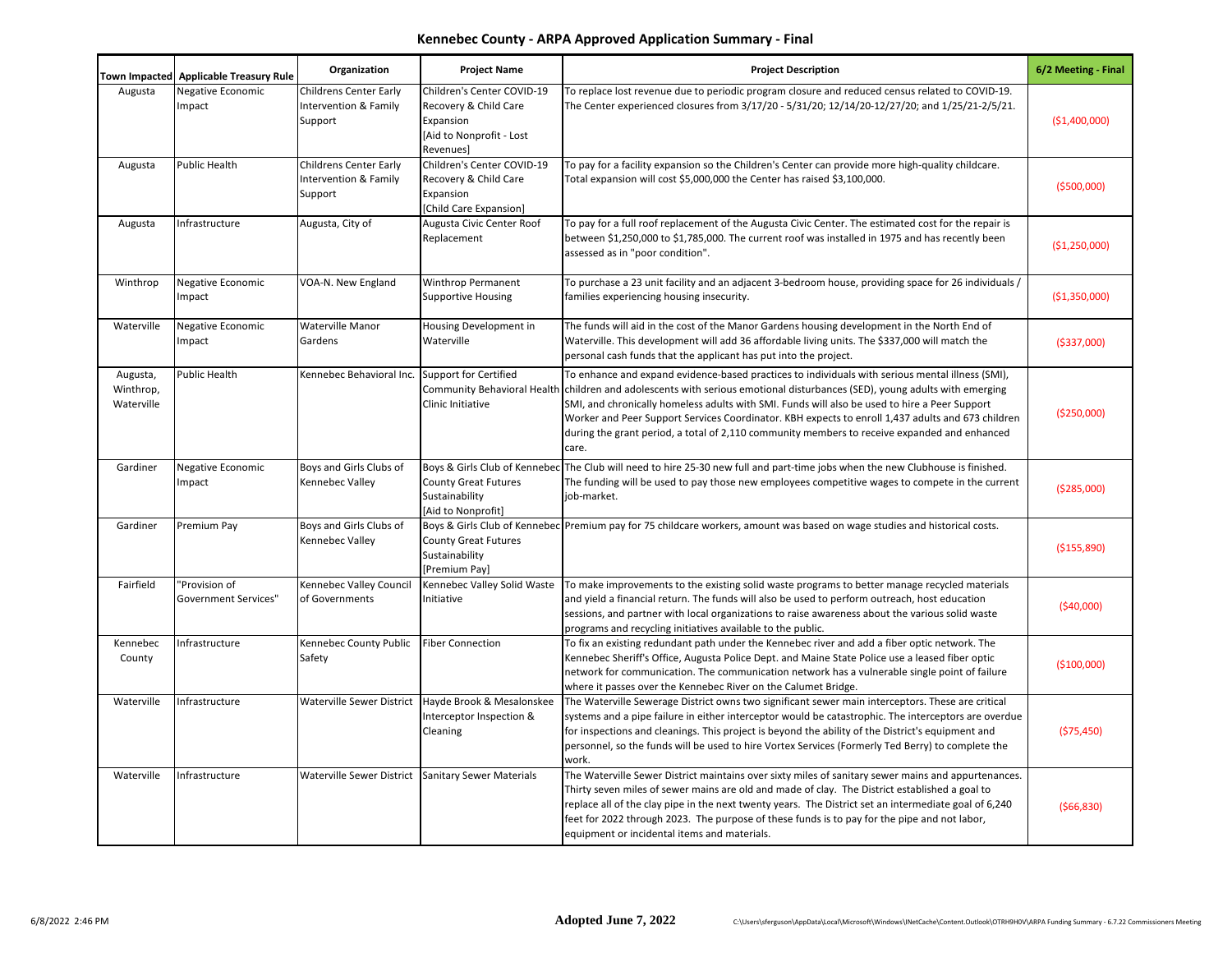## **Kennebec County - ARPA Approved Application Summary - Final**

|                                     | Town Impacted Applicable Treasury Rule       | Organization                                                      | <b>Project Name</b>                                                                                       | <b>Project Description</b>                                                                                                                                                                                                                                                                                                                                                                                                                                                                                        | 6/2 Meeting - Final |
|-------------------------------------|----------------------------------------------|-------------------------------------------------------------------|-----------------------------------------------------------------------------------------------------------|-------------------------------------------------------------------------------------------------------------------------------------------------------------------------------------------------------------------------------------------------------------------------------------------------------------------------------------------------------------------------------------------------------------------------------------------------------------------------------------------------------------------|---------------------|
| Augusta                             | Negative Economic<br>Impact                  | <b>Childrens Center Early</b><br>Intervention & Family<br>Support | Children's Center COVID-19<br>Recovery & Child Care<br>Expansion<br>[Aid to Nonprofit - Lost<br>Revenues] | To replace lost revenue due to periodic program closure and reduced census related to COVID-19.<br>The Center experienced closures from 3/17/20 - 5/31/20; 12/14/20-12/27/20; and 1/25/21-2/5/21.                                                                                                                                                                                                                                                                                                                 | (\$1,400,000)       |
| Augusta                             | <b>Public Health</b>                         | <b>Childrens Center Early</b><br>Intervention & Family<br>Support | Children's Center COVID-19<br>Recovery & Child Care<br>Expansion<br>[Child Care Expansion]                | To pay for a facility expansion so the Children's Center can provide more high-quality childcare.<br>Total expansion will cost \$5,000,000 the Center has raised \$3,100,000.                                                                                                                                                                                                                                                                                                                                     | ( \$500,000]        |
| Augusta                             | Infrastructure                               | Augusta, City of                                                  | Augusta Civic Center Roof<br>Replacement                                                                  | To pay for a full roof replacement of the Augusta Civic Center. The estimated cost for the repair is<br>between \$1,250,000 to \$1,785,000. The current roof was installed in 1975 and has recently been<br>assessed as in "poor condition".                                                                                                                                                                                                                                                                      | (\$1,250,000)       |
| Winthrop                            | Negative Economic<br>Impact                  | VOA-N. New England                                                | Winthrop Permanent<br><b>Supportive Housing</b>                                                           | / To purchase a 23 unit facility and an adjacent 3-bedroom house, providing space for 26 individuals<br>families experiencing housing insecurity.                                                                                                                                                                                                                                                                                                                                                                 | (\$1,350,000)       |
| Waterville                          | Negative Economic<br>Impact                  | Waterville Manor<br>Gardens                                       | Housing Development in<br>Waterville                                                                      | The funds will aid in the cost of the Manor Gardens housing development in the North End of<br>Waterville. This development will add 36 affordable living units. The \$337,000 will match the<br>personal cash funds that the applicant has put into the project.                                                                                                                                                                                                                                                 | ( \$337,000]        |
| Augusta,<br>Winthrop,<br>Waterville | <b>Public Health</b>                         | Kennebec Behavioral Inc.                                          | <b>Support for Certified</b><br><b>Community Behavioral Health</b><br>Clinic Initiative                   | To enhance and expand evidence-based practices to individuals with serious mental illness (SMI),<br>children and adolescents with serious emotional disturbances (SED), young adults with emerging<br>SMI, and chronically homeless adults with SMI. Funds will also be used to hire a Peer Support<br>Worker and Peer Support Services Coordinator. KBH expects to enroll 1,437 adults and 673 children<br>during the grant period, a total of 2,110 community members to receive expanded and enhanced<br>care. | (\$250,000)         |
| Gardiner                            | Negative Economic<br>Impact                  | Boys and Girls Clubs of<br>Kennebec Valley                        | <b>County Great Futures</b><br>Sustainability<br>[Aid to Nonprofit]                                       | Boys & Girls Club of Kennebec The Club will need to hire 25-30 new full and part-time jobs when the new Clubhouse is finished.<br>The funding will be used to pay those new employees competitive wages to compete in the current<br>job-market.                                                                                                                                                                                                                                                                  | ( \$285,000]        |
| Gardiner                            | Premium Pay                                  | Boys and Girls Clubs of<br>Kennebec Valley                        | <b>County Great Futures</b><br>Sustainability<br>[Premium Pay]                                            | Boys & Girls Club of Kennebec Premium pay for 75 childcare workers, amount was based on wage studies and historical costs.                                                                                                                                                                                                                                                                                                                                                                                        | (\$155,890)         |
| Fairfield                           | "Provision of<br><b>Government Services"</b> | Kennebec Valley Council<br>of Governments                         | Kennebec Valley Solid Waste<br>Initiative                                                                 | To make improvements to the existing solid waste programs to better manage recycled materials<br>and yield a financial return. The funds will also be used to perform outreach, host education<br>sessions, and partner with local organizations to raise awareness about the various solid waste<br>programs and recycling initiatives available to the public.                                                                                                                                                  | (\$40,000)          |
| Kennebec<br>County                  | Infrastructure                               | Kennebec County Public<br>Safety                                  | <b>Fiber Connection</b>                                                                                   | To fix an existing redundant path under the Kennebec river and add a fiber optic network. The<br>Kennebec Sheriff's Office, Augusta Police Dept. and Maine State Police use a leased fiber optic<br>network for communication. The communication network has a vulnerable single point of failure<br>where it passes over the Kennebec River on the Calumet Bridge.                                                                                                                                               | (\$100,000)         |
| Waterville                          | Infrastructure                               | Waterville Sewer District                                         | Hayde Brook & Mesalonskee<br>Interceptor Inspection &<br>Cleaning                                         | The Waterville Sewerage District owns two significant sewer main interceptors. These are critical<br>systems and a pipe failure in either interceptor would be catastrophic. The interceptors are overdue<br>for inspections and cleanings. This project is beyond the ability of the District's equipment and<br>personnel, so the funds will be used to hire Vortex Services (Formerly Ted Berry) to complete the<br>work.                                                                                      | (\$75,450)          |
| Waterville                          | Infrastructure                               |                                                                   | Waterville Sewer District Sanitary Sewer Materials                                                        | The Waterville Sewer District maintains over sixty miles of sanitary sewer mains and appurtenances.<br>Thirty seven miles of sewer mains are old and made of clay. The District established a goal to<br>replace all of the clay pipe in the next twenty years. The District set an intermediate goal of 6,240<br>feet for 2022 through 2023. The purpose of these funds is to pay for the pipe and not labor,<br>equipment or incidental items and materials.                                                    | ( \$66, 830)        |